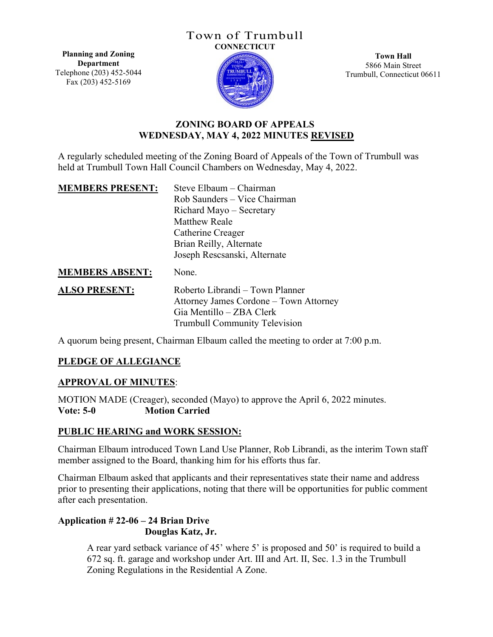#### Town of Trumbull **CONNECTICUT**

**Planning and Zoning Department** Telephone (203) 452-5044 Fax (203) 452-5169



**Town Hall** 5866 Main Street Trumbull, Connecticut 06611

# **ZONING BOARD OF APPEALS WEDNESDAY, MAY 4, 2022 MINUTES REVISED**

A regularly scheduled meeting of the Zoning Board of Appeals of the Town of Trumbull was held at Trumbull Town Hall Council Chambers on Wednesday, May 4, 2022.

| <b>MEMBERS PRESENT:</b> | Steve Elbaum - Chairman                |
|-------------------------|----------------------------------------|
|                         | Rob Saunders – Vice Chairman           |
|                         | Richard Mayo – Secretary               |
|                         | <b>Matthew Reale</b>                   |
|                         | Catherine Creager                      |
|                         | Brian Reilly, Alternate                |
|                         | Joseph Rescsanski, Alternate           |
| <b>MEMBERS ABSENT:</b>  | None.                                  |
| <b>ALSO PRESENT:</b>    | Roberto Librandi – Town Planner        |
|                         | Attorney James Cordone – Town Attorney |
|                         | Gia Mentillo – ZBA Clerk               |
|                         | <b>Trumbull Community Television</b>   |

A quorum being present, Chairman Elbaum called the meeting to order at 7:00 p.m.

## **PLEDGE OF ALLEGIANCE**

#### **APPROVAL OF MINUTES**:

MOTION MADE (Creager), seconded (Mayo) to approve the April 6, 2022 minutes. **Vote: 5-0 Motion Carried**

## **PUBLIC HEARING and WORK SESSION:**

Chairman Elbaum introduced Town Land Use Planner, Rob Librandi, as the interim Town staff member assigned to the Board, thanking him for his efforts thus far.

Chairman Elbaum asked that applicants and their representatives state their name and address prior to presenting their applications, noting that there will be opportunities for public comment after each presentation.

# **Application # 22-06 – 24 Brian Drive Douglas Katz, Jr.**

A rear yard setback variance of 45' where 5' is proposed and 50' is required to build a 672 sq. ft. garage and workshop under Art. Ⅲ and Art. ⅠⅠ, Sec. 1.3 in the Trumbull Zoning Regulations in the Residential A Zone.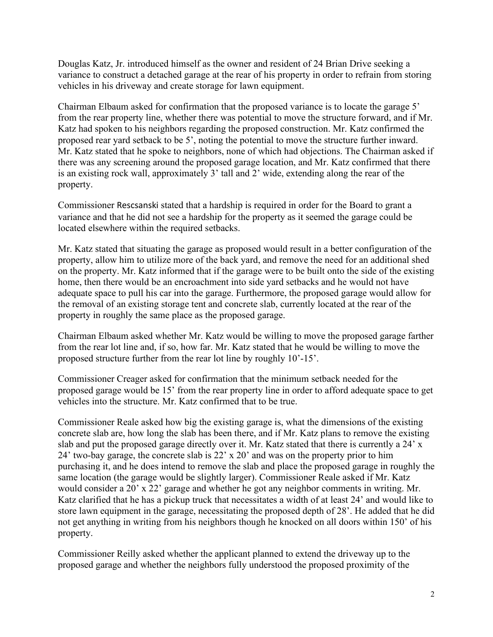Douglas Katz, Jr. introduced himself as the owner and resident of 24 Brian Drive seeking a variance to construct a detached garage at the rear of his property in order to refrain from storing vehicles in his driveway and create storage for lawn equipment.

Chairman Elbaum asked for confirmation that the proposed variance is to locate the garage 5' from the rear property line, whether there was potential to move the structure forward, and if Mr. Katz had spoken to his neighbors regarding the proposed construction. Mr. Katz confirmed the proposed rear yard setback to be 5', noting the potential to move the structure further inward. Mr. Katz stated that he spoke to neighbors, none of which had objections. The Chairman asked if there was any screening around the proposed garage location, and Mr. Katz confirmed that there is an existing rock wall, approximately 3' tall and 2' wide, extending along the rear of the property.

Commissioner Rescsanski stated that a hardship is required in order for the Board to grant a variance and that he did not see a hardship for the property as it seemed the garage could be located elsewhere within the required setbacks.

Mr. Katz stated that situating the garage as proposed would result in a better configuration of the property, allow him to utilize more of the back yard, and remove the need for an additional shed on the property. Mr. Katz informed that if the garage were to be built onto the side of the existing home, then there would be an encroachment into side yard setbacks and he would not have adequate space to pull his car into the garage. Furthermore, the proposed garage would allow for the removal of an existing storage tent and concrete slab, currently located at the rear of the property in roughly the same place as the proposed garage.

Chairman Elbaum asked whether Mr. Katz would be willing to move the proposed garage farther from the rear lot line and, if so, how far. Mr. Katz stated that he would be willing to move the proposed structure further from the rear lot line by roughly 10'-15'.

Commissioner Creager asked for confirmation that the minimum setback needed for the proposed garage would be 15' from the rear property line in order to afford adequate space to get vehicles into the structure. Mr. Katz confirmed that to be true.

Commissioner Reale asked how big the existing garage is, what the dimensions of the existing concrete slab are, how long the slab has been there, and if Mr. Katz plans to remove the existing slab and put the proposed garage directly over it. Mr. Katz stated that there is currently a 24' x 24' two-bay garage, the concrete slab is 22' x 20' and was on the property prior to him purchasing it, and he does intend to remove the slab and place the proposed garage in roughly the same location (the garage would be slightly larger). Commissioner Reale asked if Mr. Katz would consider a 20' x 22' garage and whether he got any neighbor comments in writing. Mr. Katz clarified that he has a pickup truck that necessitates a width of at least 24' and would like to store lawn equipment in the garage, necessitating the proposed depth of 28'. He added that he did not get anything in writing from his neighbors though he knocked on all doors within 150' of his property.

Commissioner Reilly asked whether the applicant planned to extend the driveway up to the proposed garage and whether the neighbors fully understood the proposed proximity of the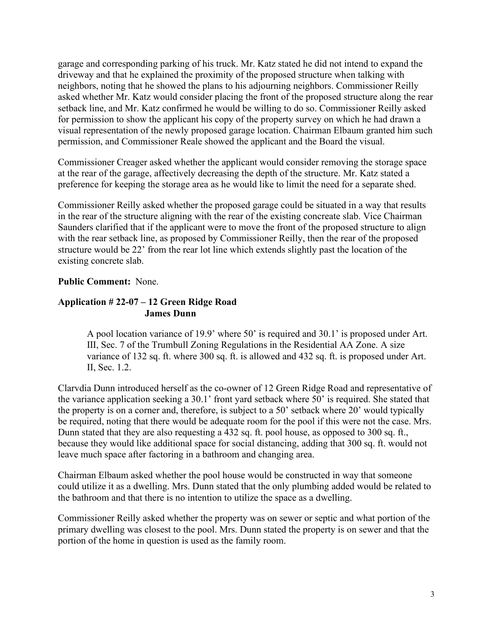garage and corresponding parking of his truck. Mr. Katz stated he did not intend to expand the driveway and that he explained the proximity of the proposed structure when talking with neighbors, noting that he showed the plans to his adjourning neighbors. Commissioner Reilly asked whether Mr. Katz would consider placing the front of the proposed structure along the rear setback line, and Mr. Katz confirmed he would be willing to do so. Commissioner Reilly asked for permission to show the applicant his copy of the property survey on which he had drawn a visual representation of the newly proposed garage location. Chairman Elbaum granted him such permission, and Commissioner Reale showed the applicant and the Board the visual.

Commissioner Creager asked whether the applicant would consider removing the storage space at the rear of the garage, affectively decreasing the depth of the structure. Mr. Katz stated a preference for keeping the storage area as he would like to limit the need for a separate shed.

Commissioner Reilly asked whether the proposed garage could be situated in a way that results in the rear of the structure aligning with the rear of the existing concreate slab. Vice Chairman Saunders clarified that if the applicant were to move the front of the proposed structure to align with the rear setback line, as proposed by Commissioner Reilly, then the rear of the proposed structure would be 22' from the rear lot line which extends slightly past the location of the existing concrete slab.

## **Public Comment:** None.

## **Application # 22-07 – 12 Green Ridge Road James Dunn**

A pool location variance of 19.9' where 50' is required and 30.1' is proposed under Art. Ⅲ, Sec. 7 of the Trumbull Zoning Regulations in the Residential AA Zone. A size variance of 132 sq. ft. where 300 sq. ft. is allowed and 432 sq. ft. is proposed under Art. ⅠⅠ, Sec. 1.2.

Clarvdia Dunn introduced herself as the co-owner of 12 Green Ridge Road and representative of the variance application seeking a 30.1' front yard setback where 50' is required. She stated that the property is on a corner and, therefore, is subject to a 50' setback where 20' would typically be required, noting that there would be adequate room for the pool if this were not the case. Mrs. Dunn stated that they are also requesting a 432 sq. ft. pool house, as opposed to 300 sq. ft., because they would like additional space for social distancing, adding that 300 sq. ft. would not leave much space after factoring in a bathroom and changing area.

Chairman Elbaum asked whether the pool house would be constructed in way that someone could utilize it as a dwelling. Mrs. Dunn stated that the only plumbing added would be related to the bathroom and that there is no intention to utilize the space as a dwelling.

Commissioner Reilly asked whether the property was on sewer or septic and what portion of the primary dwelling was closest to the pool. Mrs. Dunn stated the property is on sewer and that the portion of the home in question is used as the family room.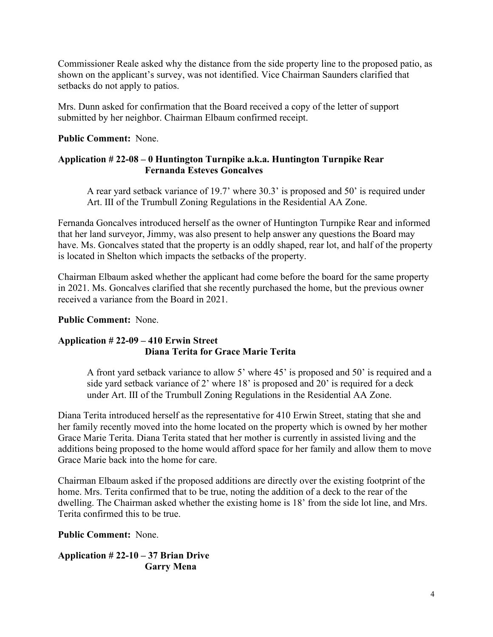Commissioner Reale asked why the distance from the side property line to the proposed patio, as shown on the applicant's survey, was not identified. Vice Chairman Saunders clarified that setbacks do not apply to patios.

Mrs. Dunn asked for confirmation that the Board received a copy of the letter of support submitted by her neighbor. Chairman Elbaum confirmed receipt.

### **Public Comment:** None.

## **Application # 22-08 – 0 Huntington Turnpike a.k.a. Huntington Turnpike Rear Fernanda Esteves Goncalves**

A rear yard setback variance of 19.7' where 30.3' is proposed and 50' is required under Art. Ⅲ of the Trumbull Zoning Regulations in the Residential AA Zone.

Fernanda Goncalves introduced herself as the owner of Huntington Turnpike Rear and informed that her land surveyor, Jimmy, was also present to help answer any questions the Board may have. Ms. Goncalves stated that the property is an oddly shaped, rear lot, and half of the property is located in Shelton which impacts the setbacks of the property.

Chairman Elbaum asked whether the applicant had come before the board for the same property in 2021. Ms. Goncalves clarified that she recently purchased the home, but the previous owner received a variance from the Board in 2021.

### **Public Comment:** None.

## **Application # 22-09 – 410 Erwin Street Diana Terita for Grace Marie Terita**

A front yard setback variance to allow 5' where 45' is proposed and 50' is required and a side yard setback variance of 2' where 18' is proposed and 20' is required for a deck under Art. Ⅲ of the Trumbull Zoning Regulations in the Residential AA Zone.

Diana Terita introduced herself as the representative for 410 Erwin Street, stating that she and her family recently moved into the home located on the property which is owned by her mother Grace Marie Terita. Diana Terita stated that her mother is currently in assisted living and the additions being proposed to the home would afford space for her family and allow them to move Grace Marie back into the home for care.

Chairman Elbaum asked if the proposed additions are directly over the existing footprint of the home. Mrs. Terita confirmed that to be true, noting the addition of a deck to the rear of the dwelling. The Chairman asked whether the existing home is 18' from the side lot line, and Mrs. Terita confirmed this to be true.

#### **Public Comment:** None.

**Application # 22-10 – 37 Brian Drive Garry Mena**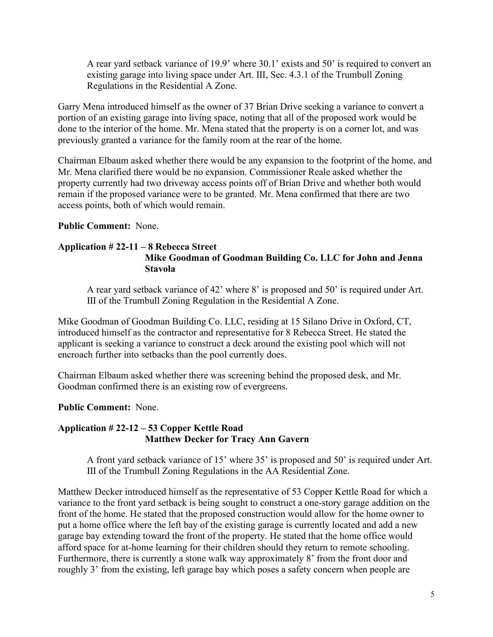A rear yard setback variance of 19.9' where 30.1' exists and 50' is required to convert an existing garage into living space under Art. Ⅲ, Sec. 4.3.1 of the Trumbull Zoning Regulations in the Residential A Zone.

Garry Mena introduced himself as the owner of 37 Brian Drive seeking a variance to convert a portion of an existing garage into living space, noting that all of the proposed work would be done to the interior of the home. Mr. Mena stated that the property is on a corner lot, and was previously granted a variance for the family room at the rear of the home.

Chairman Elbaum asked whether there would be any expansion to the footprint of the home, and Mr. Mena clarified there would be no expansion. Commissioner Reale asked whether the property currently had two driveway access points off of Brian Drive and whether both would remain if the proposed variance were to be granted. Mr. Mena confirmed that there are two access points, both of which would remain.

### **Public Comment:** None.

#### **Application # 22-11 – 8 Rebecca Street Mike Goodman of Goodman Building Co. LLC for John and Jenna Stavola**

A rear yard setback variance of 42' where 8' is proposed and 50' is required under Art. Ⅲ of the Trumbull Zoning Regulation in the Residential A Zone.

Mike Goodman of Goodman Building Co. LLC, residing at 15 Silano Drive in Oxford, CT, introduced himself as the contractor and representative for 8 Rebecca Street. He stated the applicant is seeking a variance to construct a deck around the existing pool which will not encroach further into setbacks than the pool currently does.

Chairman Elbaum asked whether there was screening behind the proposed desk, and Mr. Goodman confirmed there is an existing row of evergreens.

#### **Public Comment:** None.

## **Application # 22-12 – 53 Copper Kettle Road Matthew Decker for Tracy Ann Gavern**

A front yard setback variance of 15' where 35' is proposed and 50' is required under Art. Ⅲ of the Trumbull Zoning Regulations in the AA Residential Zone.

Matthew Decker introduced himself as the representative of 53 Copper Kettle Road for which a variance to the front yard setback is being sought to construct a one-story garage addition on the front of the home. He stated that the proposed construction would allow for the home owner to put a home office where the left bay of the existing garage is currently located and add a new garage bay extending toward the front of the property. He stated that the home office would afford space for at-home learning for their children should they return to remote schooling. Furthermore, there is currently a stone walk way approximately 8' from the front door and roughly 3' from the existing, left garage bay which poses a safety concern when people are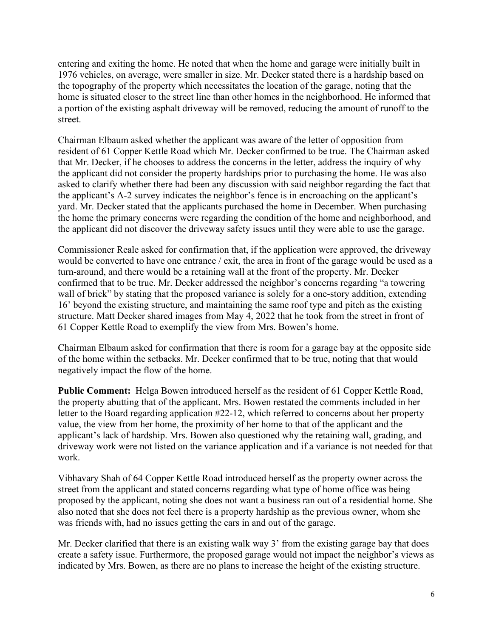entering and exiting the home. He noted that when the home and garage were initially built in 1976 vehicles, on average, were smaller in size. Mr. Decker stated there is a hardship based on the topography of the property which necessitates the location of the garage, noting that the home is situated closer to the street line than other homes in the neighborhood. He informed that a portion of the existing asphalt driveway will be removed, reducing the amount of runoff to the street.

Chairman Elbaum asked whether the applicant was aware of the letter of opposition from resident of 61 Copper Kettle Road which Mr. Decker confirmed to be true. The Chairman asked that Mr. Decker, if he chooses to address the concerns in the letter, address the inquiry of why the applicant did not consider the property hardships prior to purchasing the home. He was also asked to clarify whether there had been any discussion with said neighbor regarding the fact that the applicant's A-2 survey indicates the neighbor's fence is in encroaching on the applicant's yard. Mr. Decker stated that the applicants purchased the home in December. When purchasing the home the primary concerns were regarding the condition of the home and neighborhood, and the applicant did not discover the driveway safety issues until they were able to use the garage.

Commissioner Reale asked for confirmation that, if the application were approved, the driveway would be converted to have one entrance / exit, the area in front of the garage would be used as a turn-around, and there would be a retaining wall at the front of the property. Mr. Decker confirmed that to be true. Mr. Decker addressed the neighbor's concerns regarding "a towering wall of brick" by stating that the proposed variance is solely for a one-story addition, extending 16' beyond the existing structure, and maintaining the same roof type and pitch as the existing structure. Matt Decker shared images from May 4, 2022 that he took from the street in front of 61 Copper Kettle Road to exemplify the view from Mrs. Bowen's home.

Chairman Elbaum asked for confirmation that there is room for a garage bay at the opposite side of the home within the setbacks. Mr. Decker confirmed that to be true, noting that that would negatively impact the flow of the home.

**Public Comment:** Helga Bowen introduced herself as the resident of 61 Copper Kettle Road, the property abutting that of the applicant. Mrs. Bowen restated the comments included in her letter to the Board regarding application #22-12, which referred to concerns about her property value, the view from her home, the proximity of her home to that of the applicant and the applicant's lack of hardship. Mrs. Bowen also questioned why the retaining wall, grading, and driveway work were not listed on the variance application and if a variance is not needed for that work.

Vibhavary Shah of 64 Copper Kettle Road introduced herself as the property owner across the street from the applicant and stated concerns regarding what type of home office was being proposed by the applicant, noting she does not want a business ran out of a residential home. She also noted that she does not feel there is a property hardship as the previous owner, whom she was friends with, had no issues getting the cars in and out of the garage.

Mr. Decker clarified that there is an existing walk way 3' from the existing garage bay that does create a safety issue. Furthermore, the proposed garage would not impact the neighbor's views as indicated by Mrs. Bowen, as there are no plans to increase the height of the existing structure.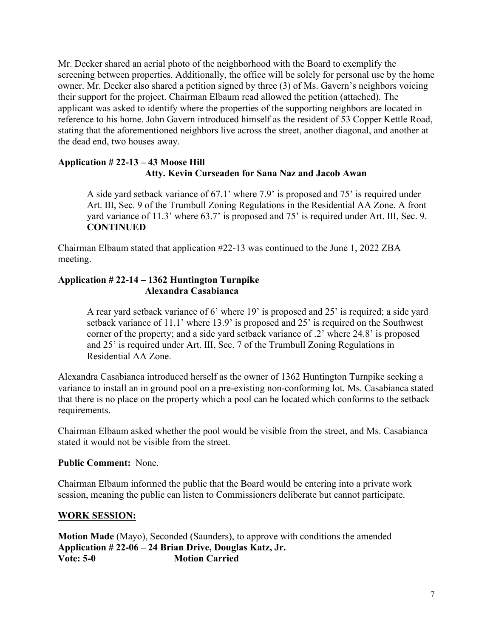Mr. Decker shared an aerial photo of the neighborhood with the Board to exemplify the screening between properties. Additionally, the office will be solely for personal use by the home owner. Mr. Decker also shared a petition signed by three (3) of Ms. Gavern's neighbors voicing their support for the project. Chairman Elbaum read allowed the petition (attached). The applicant was asked to identify where the properties of the supporting neighbors are located in reference to his home. John Gavern introduced himself as the resident of 53 Copper Kettle Road, stating that the aforementioned neighbors live across the street, another diagonal, and another at the dead end, two houses away.

## **Application # 22-13 – 43 Moose Hill Atty. Kevin Curseaden for Sana Naz and Jacob Awan**

A side yard setback variance of 67.1' where 7.9' is proposed and 75' is required under Art. Ⅲ, Sec. 9 of the Trumbull Zoning Regulations in the Residential AA Zone. A front yard variance of 11.3' where 63.7' is proposed and 75' is required under Art. III, Sec. 9. **CONTINUED** 

Chairman Elbaum stated that application #22-13 was continued to the June 1, 2022 ZBA meeting.

# **Application # 22-14 – 1362 Huntington Turnpike Alexandra Casabianca**

A rear yard setback variance of 6' where 19' is proposed and 25' is required; a side yard setback variance of 11.1' where 13.9' is proposed and 25' is required on the Southwest corner of the property; and a side yard setback variance of .2' where 24.8' is proposed and 25' is required under Art. Ⅲ, Sec. 7 of the Trumbull Zoning Regulations in Residential AA Zone.

Alexandra Casabianca introduced herself as the owner of 1362 Huntington Turnpike seeking a variance to install an in ground pool on a pre-existing non-conforming lot. Ms. Casabianca stated that there is no place on the property which a pool can be located which conforms to the setback requirements.

Chairman Elbaum asked whether the pool would be visible from the street, and Ms. Casabianca stated it would not be visible from the street.

#### **Public Comment:** None.

Chairman Elbaum informed the public that the Board would be entering into a private work session, meaning the public can listen to Commissioners deliberate but cannot participate.

## **WORK SESSION:**

**Motion Made** (Mayo), Seconded (Saunders), to approve with conditions the amended **Application # 22-06 – 24 Brian Drive, Douglas Katz, Jr. Vote: 5-0 Motion Carried**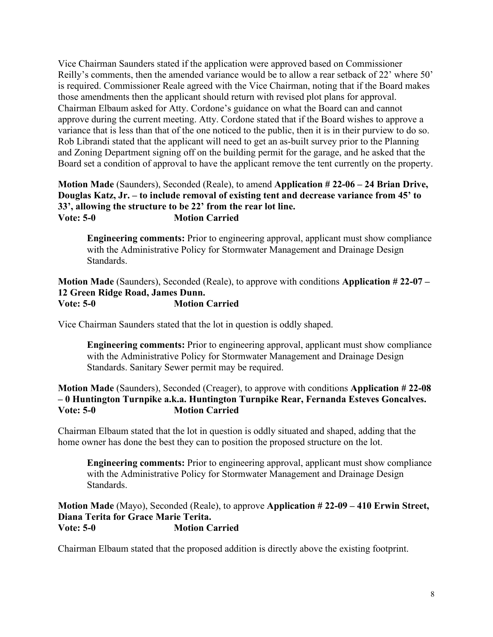Vice Chairman Saunders stated if the application were approved based on Commissioner Reilly's comments, then the amended variance would be to allow a rear setback of 22' where 50' is required. Commissioner Reale agreed with the Vice Chairman, noting that if the Board makes those amendments then the applicant should return with revised plot plans for approval. Chairman Elbaum asked for Atty. Cordone's guidance on what the Board can and cannot approve during the current meeting. Atty. Cordone stated that if the Board wishes to approve a variance that is less than that of the one noticed to the public, then it is in their purview to do so. Rob Librandi stated that the applicant will need to get an as-built survey prior to the Planning and Zoning Department signing off on the building permit for the garage, and he asked that the Board set a condition of approval to have the applicant remove the tent currently on the property.

### **Motion Made** (Saunders), Seconded (Reale), to amend **Application # 22-06 – 24 Brian Drive, Douglas Katz, Jr. – to include removal of existing tent and decrease variance from 45' to 33', allowing the structure to be 22' from the rear lot line. Vote: 5-0 Motion Carried**

**Engineering comments:** Prior to engineering approval, applicant must show compliance with the Administrative Policy for Stormwater Management and Drainage Design Standards.

**Motion Made** (Saunders), Seconded (Reale), to approve with conditions **Application # 22-07 – 12 Green Ridge Road, James Dunn. Vote: 5-0 Motion Carried**

Vice Chairman Saunders stated that the lot in question is oddly shaped.

**Engineering comments:** Prior to engineering approval, applicant must show compliance with the Administrative Policy for Stormwater Management and Drainage Design Standards. Sanitary Sewer permit may be required.

### **Motion Made** (Saunders), Seconded (Creager), to approve with conditions **Application # 22-08 – 0 Huntington Turnpike a.k.a. Huntington Turnpike Rear, Fernanda Esteves Goncalves. Vote: 5-0 Motion Carried**

Chairman Elbaum stated that the lot in question is oddly situated and shaped, adding that the home owner has done the best they can to position the proposed structure on the lot.

**Engineering comments:** Prior to engineering approval, applicant must show compliance with the Administrative Policy for Stormwater Management and Drainage Design Standards.

**Motion Made** (Mayo), Seconded (Reale), to approve **Application # 22-09 – 410 Erwin Street, Diana Terita for Grace Marie Terita. Vote: 5-0 Motion Carried**

Chairman Elbaum stated that the proposed addition is directly above the existing footprint.